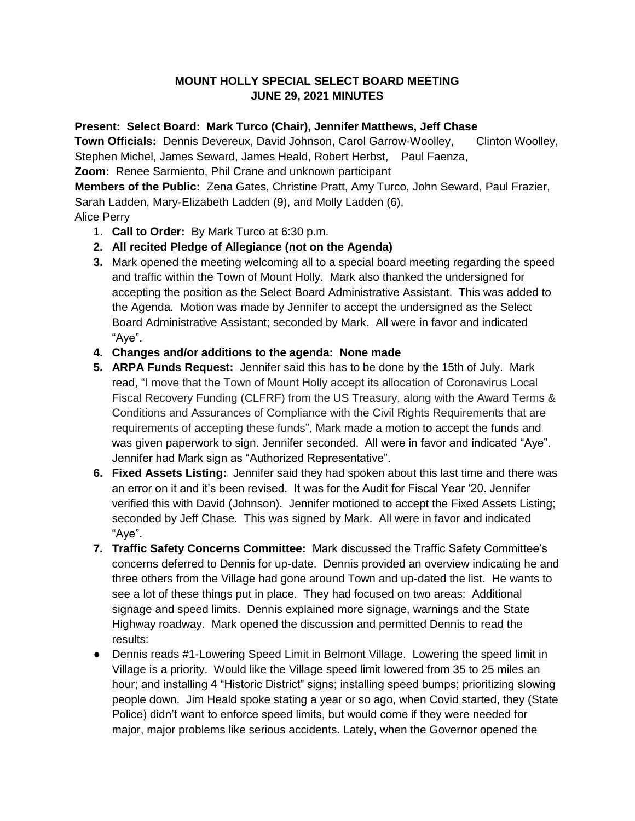## **MOUNT HOLLY SPECIAL SELECT BOARD MEETING JUNE 29, 2021 MINUTES**

## **Present: Select Board: Mark Turco (Chair), Jennifer Matthews, Jeff Chase**

**Town Officials:** Dennis Devereux, David Johnson, Carol Garrow-Woolley, Clinton Woolley,

Stephen Michel, James Seward, James Heald, Robert Herbst, Paul Faenza,

**Zoom:** Renee Sarmiento, Phil Crane and unknown participant

**Members of the Public:** Zena Gates, Christine Pratt, Amy Turco, John Seward, Paul Frazier, Sarah Ladden, Mary-Elizabeth Ladden (9), and Molly Ladden (6),

## Alice Perry

- 1. **Call to Order:** By Mark Turco at 6:30 p.m.
- **2. All recited Pledge of Allegiance (not on the Agenda)**
- **3.** Mark opened the meeting welcoming all to a special board meeting regarding the speed and traffic within the Town of Mount Holly. Mark also thanked the undersigned for accepting the position as the Select Board Administrative Assistant. This was added to the Agenda. Motion was made by Jennifer to accept the undersigned as the Select Board Administrative Assistant; seconded by Mark. All were in favor and indicated "Aye".
- **4. Changes and/or additions to the agenda: None made**
- **5. ARPA Funds Request:** Jennifer said this has to be done by the 15th of July. Mark read, "I move that the Town of Mount Holly accept its allocation of Coronavirus Local Fiscal Recovery Funding (CLFRF) from the US Treasury, along with the Award Terms & Conditions and Assurances of Compliance with the Civil Rights Requirements that are requirements of accepting these funds", Mark made a motion to accept the funds and was given paperwork to sign. Jennifer seconded. All were in favor and indicated "Aye". Jennifer had Mark sign as "Authorized Representative".
- **6. Fixed Assets Listing:** Jennifer said they had spoken about this last time and there was an error on it and it's been revised. It was for the Audit for Fiscal Year '20. Jennifer verified this with David (Johnson). Jennifer motioned to accept the Fixed Assets Listing; seconded by Jeff Chase. This was signed by Mark. All were in favor and indicated "Aye".
- **7. Traffic Safety Concerns Committee:** Mark discussed the Traffic Safety Committee's concerns deferred to Dennis for up-date. Dennis provided an overview indicating he and three others from the Village had gone around Town and up-dated the list. He wants to see a lot of these things put in place. They had focused on two areas: Additional signage and speed limits. Dennis explained more signage, warnings and the State Highway roadway. Mark opened the discussion and permitted Dennis to read the results:
- Dennis reads #1-Lowering Speed Limit in Belmont Village. Lowering the speed limit in Village is a priority. Would like the Village speed limit lowered from 35 to 25 miles an hour; and installing 4 "Historic District" signs; installing speed bumps; prioritizing slowing people down. Jim Heald spoke stating a year or so ago, when Covid started, they (State Police) didn't want to enforce speed limits, but would come if they were needed for major, major problems like serious accidents. Lately, when the Governor opened the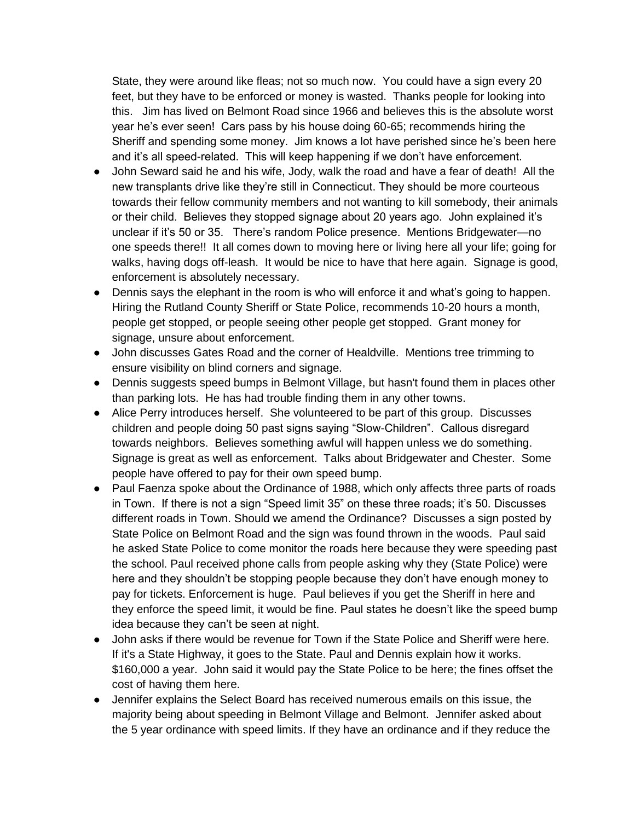State, they were around like fleas; not so much now. You could have a sign every 20 feet, but they have to be enforced or money is wasted. Thanks people for looking into this. Jim has lived on Belmont Road since 1966 and believes this is the absolute worst year he's ever seen! Cars pass by his house doing 60-65; recommends hiring the Sheriff and spending some money. Jim knows a lot have perished since he's been here and it's all speed-related. This will keep happening if we don't have enforcement.

- John Seward said he and his wife, Jody, walk the road and have a fear of death! All the new transplants drive like they're still in Connecticut. They should be more courteous towards their fellow community members and not wanting to kill somebody, their animals or their child. Believes they stopped signage about 20 years ago. John explained it's unclear if it's 50 or 35. There's random Police presence. Mentions Bridgewater—no one speeds there!! It all comes down to moving here or living here all your life; going for walks, having dogs off-leash. It would be nice to have that here again. Signage is good, enforcement is absolutely necessary.
- Dennis says the elephant in the room is who will enforce it and what's going to happen. Hiring the Rutland County Sheriff or State Police, recommends 10-20 hours a month, people get stopped, or people seeing other people get stopped. Grant money for signage, unsure about enforcement.
- John discusses Gates Road and the corner of Healdville. Mentions tree trimming to ensure visibility on blind corners and signage.
- Dennis suggests speed bumps in Belmont Village, but hasn't found them in places other than parking lots. He has had trouble finding them in any other towns.
- Alice Perry introduces herself. She volunteered to be part of this group. Discusses children and people doing 50 past signs saying "Slow-Children". Callous disregard towards neighbors. Believes something awful will happen unless we do something. Signage is great as well as enforcement. Talks about Bridgewater and Chester. Some people have offered to pay for their own speed bump.
- Paul Faenza spoke about the Ordinance of 1988, which only affects three parts of roads in Town. If there is not a sign "Speed limit 35" on these three roads; it's 50. Discusses different roads in Town. Should we amend the Ordinance? Discusses a sign posted by State Police on Belmont Road and the sign was found thrown in the woods. Paul said he asked State Police to come monitor the roads here because they were speeding past the school. Paul received phone calls from people asking why they (State Police) were here and they shouldn't be stopping people because they don't have enough money to pay for tickets. Enforcement is huge. Paul believes if you get the Sheriff in here and they enforce the speed limit, it would be fine. Paul states he doesn't like the speed bump idea because they can't be seen at night.
- John asks if there would be revenue for Town if the State Police and Sheriff were here. If it's a State Highway, it goes to the State. Paul and Dennis explain how it works. \$160,000 a year. John said it would pay the State Police to be here; the fines offset the cost of having them here.
- Jennifer explains the Select Board has received numerous emails on this issue, the majority being about speeding in Belmont Village and Belmont. Jennifer asked about the 5 year ordinance with speed limits. If they have an ordinance and if they reduce the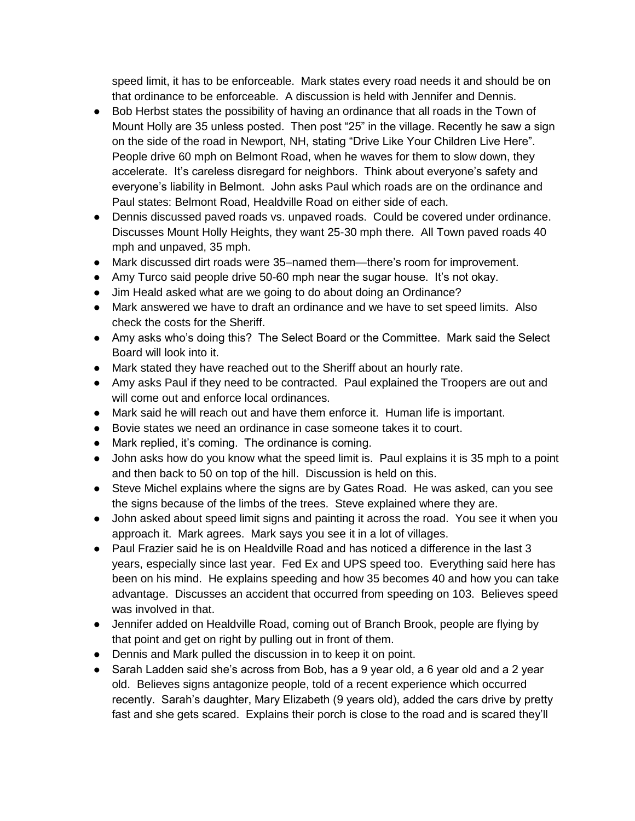speed limit, it has to be enforceable. Mark states every road needs it and should be on that ordinance to be enforceable. A discussion is held with Jennifer and Dennis.

- Bob Herbst states the possibility of having an ordinance that all roads in the Town of Mount Holly are 35 unless posted. Then post "25" in the village. Recently he saw a sign on the side of the road in Newport, NH, stating "Drive Like Your Children Live Here". People drive 60 mph on Belmont Road, when he waves for them to slow down, they accelerate. It's careless disregard for neighbors. Think about everyone's safety and everyone's liability in Belmont. John asks Paul which roads are on the ordinance and Paul states: Belmont Road, Healdville Road on either side of each.
- Dennis discussed paved roads vs. unpaved roads. Could be covered under ordinance. Discusses Mount Holly Heights, they want 25-30 mph there. All Town paved roads 40 mph and unpaved, 35 mph.
- Mark discussed dirt roads were 35–named them—there's room for improvement.
- Amy Turco said people drive 50-60 mph near the sugar house. It's not okay.
- Jim Heald asked what are we going to do about doing an Ordinance?
- Mark answered we have to draft an ordinance and we have to set speed limits. Also check the costs for the Sheriff.
- Amy asks who's doing this? The Select Board or the Committee. Mark said the Select Board will look into it.
- Mark stated they have reached out to the Sheriff about an hourly rate.
- Amy asks Paul if they need to be contracted. Paul explained the Troopers are out and will come out and enforce local ordinances.
- Mark said he will reach out and have them enforce it. Human life is important.
- Bovie states we need an ordinance in case someone takes it to court.
- Mark replied, it's coming. The ordinance is coming.
- John asks how do you know what the speed limit is. Paul explains it is 35 mph to a point and then back to 50 on top of the hill. Discussion is held on this.
- Steve Michel explains where the signs are by Gates Road. He was asked, can you see the signs because of the limbs of the trees. Steve explained where they are.
- John asked about speed limit signs and painting it across the road. You see it when you approach it. Mark agrees. Mark says you see it in a lot of villages.
- Paul Frazier said he is on Healdville Road and has noticed a difference in the last 3 years, especially since last year. Fed Ex and UPS speed too. Everything said here has been on his mind. He explains speeding and how 35 becomes 40 and how you can take advantage. Discusses an accident that occurred from speeding on 103. Believes speed was involved in that.
- Jennifer added on Healdville Road, coming out of Branch Brook, people are flying by that point and get on right by pulling out in front of them.
- Dennis and Mark pulled the discussion in to keep it on point.
- Sarah Ladden said she's across from Bob, has a 9 year old, a 6 year old and a 2 year old. Believes signs antagonize people, told of a recent experience which occurred recently. Sarah's daughter, Mary Elizabeth (9 years old), added the cars drive by pretty fast and she gets scared. Explains their porch is close to the road and is scared they'll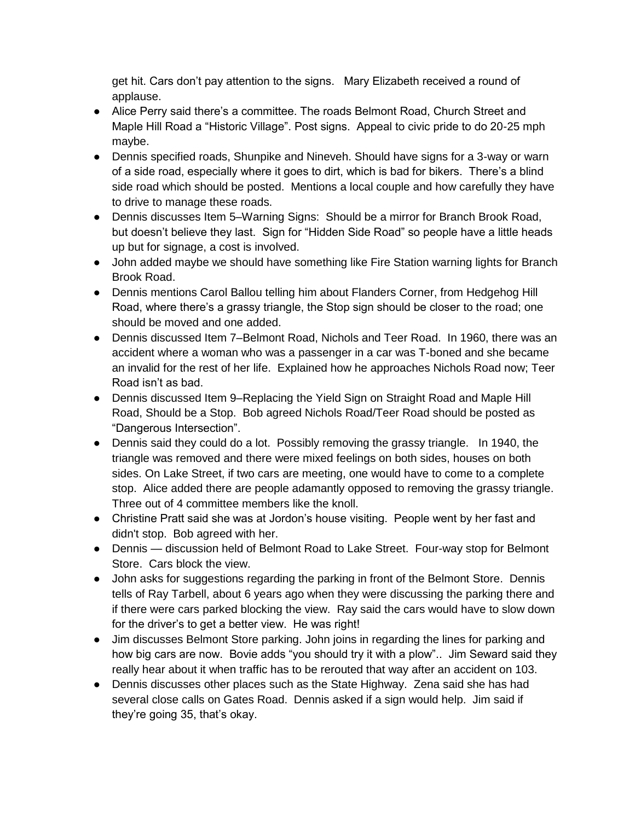get hit. Cars don't pay attention to the signs. Mary Elizabeth received a round of applause.

- Alice Perry said there's a committee. The roads Belmont Road, Church Street and Maple Hill Road a "Historic Village". Post signs. Appeal to civic pride to do 20-25 mph maybe.
- Dennis specified roads, Shunpike and Nineveh. Should have signs for a 3-way or warn of a side road, especially where it goes to dirt, which is bad for bikers. There's a blind side road which should be posted. Mentions a local couple and how carefully they have to drive to manage these roads.
- Dennis discusses Item 5–Warning Signs: Should be a mirror for Branch Brook Road, but doesn't believe they last. Sign for "Hidden Side Road" so people have a little heads up but for signage, a cost is involved.
- John added maybe we should have something like Fire Station warning lights for Branch Brook Road.
- Dennis mentions Carol Ballou telling him about Flanders Corner, from Hedgehog Hill Road, where there's a grassy triangle, the Stop sign should be closer to the road; one should be moved and one added.
- Dennis discussed Item 7–Belmont Road, Nichols and Teer Road. In 1960, there was an accident where a woman who was a passenger in a car was T-boned and she became an invalid for the rest of her life. Explained how he approaches Nichols Road now; Teer Road isn't as bad.
- Dennis discussed Item 9–Replacing the Yield Sign on Straight Road and Maple Hill Road, Should be a Stop. Bob agreed Nichols Road/Teer Road should be posted as "Dangerous Intersection".
- Dennis said they could do a lot. Possibly removing the grassy triangle. In 1940, the triangle was removed and there were mixed feelings on both sides, houses on both sides. On Lake Street, if two cars are meeting, one would have to come to a complete stop. Alice added there are people adamantly opposed to removing the grassy triangle. Three out of 4 committee members like the knoll.
- Christine Pratt said she was at Jordon's house visiting. People went by her fast and didn't stop. Bob agreed with her.
- Dennis discussion held of Belmont Road to Lake Street. Four-way stop for Belmont Store. Cars block the view.
- John asks for suggestions regarding the parking in front of the Belmont Store. Dennis tells of Ray Tarbell, about 6 years ago when they were discussing the parking there and if there were cars parked blocking the view. Ray said the cars would have to slow down for the driver's to get a better view. He was right!
- Jim discusses Belmont Store parking. John joins in regarding the lines for parking and how big cars are now. Bovie adds "you should try it with a plow".. Jim Seward said they really hear about it when traffic has to be rerouted that way after an accident on 103.
- Dennis discusses other places such as the State Highway. Zena said she has had several close calls on Gates Road. Dennis asked if a sign would help. Jim said if they're going 35, that's okay.